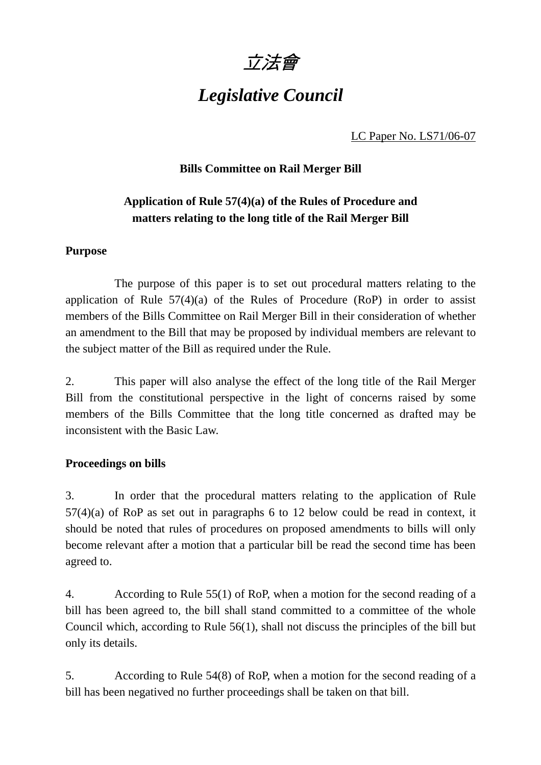# 立法會

# *Legislative Council*

LC Paper No. LS71/06-07

### **Bills Committee on Rail Merger Bill**

## **Application of Rule 57(4)(a) of the Rules of Procedure and matters relating to the long title of the Rail Merger Bill**

### **Purpose**

 The purpose of this paper is to set out procedural matters relating to the application of Rule  $57(4)(a)$  of the Rules of Procedure (RoP) in order to assist members of the Bills Committee on Rail Merger Bill in their consideration of whether an amendment to the Bill that may be proposed by individual members are relevant to the subject matter of the Bill as required under the Rule.

2. This paper will also analyse the effect of the long title of the Rail Merger Bill from the constitutional perspective in the light of concerns raised by some members of the Bills Committee that the long title concerned as drafted may be inconsistent with the Basic Law.

#### **Proceedings on bills**

3. In order that the procedural matters relating to the application of Rule 57(4)(a) of RoP as set out in paragraphs 6 to 12 below could be read in context, it should be noted that rules of procedures on proposed amendments to bills will only become relevant after a motion that a particular bill be read the second time has been agreed to.

4. According to Rule 55(1) of RoP, when a motion for the second reading of a bill has been agreed to, the bill shall stand committed to a committee of the whole Council which, according to Rule 56(1), shall not discuss the principles of the bill but only its details.

5. According to Rule 54(8) of RoP, when a motion for the second reading of a bill has been negatived no further proceedings shall be taken on that bill.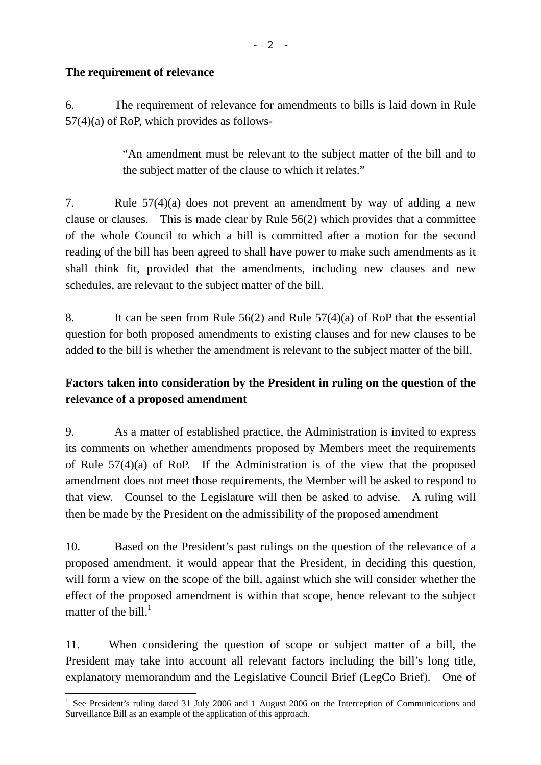$- 2 -$ 

#### **The requirement of relevance**

6. The requirement of relevance for amendments to bills is laid down in Rule 57(4)(a) of RoP, which provides as follows-

> "An amendment must be relevant to the subject matter of the bill and to the subject matter of the clause to which it relates."

7. Rule 57(4)(a) does not prevent an amendment by way of adding a new clause or clauses. This is made clear by Rule 56(2) which provides that a committee of the whole Council to which a bill is committed after a motion for the second reading of the bill has been agreed to shall have power to make such amendments as it shall think fit, provided that the amendments, including new clauses and new schedules, are relevant to the subject matter of the bill.

8. It can be seen from Rule 56(2) and Rule 57(4)(a) of RoP that the essential question for both proposed amendments to existing clauses and for new clauses to be added to the bill is whether the amendment is relevant to the subject matter of the bill.

## **Factors taken into consideration by the President in ruling on the question of the relevance of a proposed amendment**

9. As a matter of established practice, the Administration is invited to express its comments on whether amendments proposed by Members meet the requirements of Rule 57(4)(a) of RoP. If the Administration is of the view that the proposed amendment does not meet those requirements, the Member will be asked to respond to that view. Counsel to the Legislature will then be asked to advise. A ruling will then be made by the President on the admissibility of the proposed amendment

10. Based on the President's past rulings on the question of the relevance of a proposed amendment, it would appear that the President, in deciding this question, will form a view on the scope of the bill, against which she will consider whether the effect of the proposed amendment is within that scope, hence relevant to the subject matter of the bill. $<sup>1</sup>$ </sup>

11. When considering the question of scope or subject matter of a bill, the President may take into account all relevant factors including the bill's long title, explanatory memorandum and the Legislative Council Brief (LegCo Brief). One of

 $\overline{a}$ <sup>1</sup> See President's ruling dated 31 July 2006 and 1 August 2006 on the Interception of Communications and Surveillance Bill as an example of the application of this approach.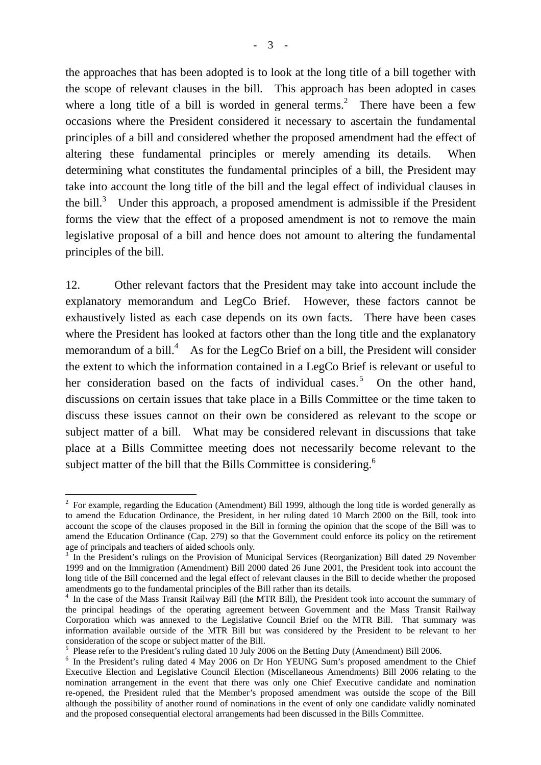the approaches that has been adopted is to look at the long title of a bill together with the scope of relevant clauses in the bill. This approach has been adopted in cases where a long title of a bill is worded in general terms.<sup>2</sup> There have been a few occasions where the President considered it necessary to ascertain the fundamental principles of a bill and considered whether the proposed amendment had the effect of altering these fundamental principles or merely amending its details. When determining what constitutes the fundamental principles of a bill, the President may take into account the long title of the bill and the legal effect of individual clauses in the bill.<sup>3</sup> Under this approach, a proposed amendment is admissible if the President forms the view that the effect of a proposed amendment is not to remove the main legislative proposal of a bill and hence does not amount to altering the fundamental principles of the bill.

12. Other relevant factors that the President may take into account include the explanatory memorandum and LegCo Brief. However, these factors cannot be exhaustively listed as each case depends on its own facts. There have been cases where the President has looked at factors other than the long title and the explanatory memorandum of a bill.<sup>4</sup> As for the LegCo Brief on a bill, the President will consider the extent to which the information contained in a LegCo Brief is relevant or useful to her consideration based on the facts of individual cases.<sup>5</sup> On the other hand, discussions on certain issues that take place in a Bills Committee or the time taken to discuss these issues cannot on their own be considered as relevant to the scope or subject matter of a bill. What may be considered relevant in discussions that take place at a Bills Committee meeting does not necessarily become relevant to the subject matter of the bill that the Bills Committee is considering.<sup>6</sup>

<sup>&</sup>lt;sup>2</sup> For example, regarding the Education (Amendment) Bill 1999, although the long title is worded generally as to amend the Education Ordinance, the President, in her ruling dated 10 March 2000 on the Bill, took into account the scope of the clauses proposed in the Bill in forming the opinion that the scope of the Bill was to amend the Education Ordinance (Cap. 279) so that the Government could enforce its policy on the retirement age of principals and teachers of aided schools only.

In the President's rulings on the Provision of Municipal Services (Reorganization) Bill dated 29 November 1999 and on the Immigration (Amendment) Bill 2000 dated 26 June 2001, the President took into account the long title of the Bill concerned and the legal effect of relevant clauses in the Bill to decide whether the proposed amendments go to the fundamental principles of the Bill rather than its details.

<sup>&</sup>lt;sup>4</sup> In the case of the Mass Transit Railway Bill (the MTR Bill), the President took into account the summary of the principal headings of the operating agreement between Government and the Mass Transit Railway Corporation which was annexed to the Legislative Council Brief on the MTR Bill. That summary was information available outside of the MTR Bill but was considered by the President to be relevant to her consideration of the scope or subject matter of the Bill.

<sup>&</sup>lt;sup>5</sup> Please refer to the President's ruling dated 10 July 2006 on the Betting Duty (Amendment) Bill 2006.

<sup>&</sup>lt;sup>6</sup> In the President's ruling dated 4 May 2006 on Dr Hon YEUNG Sum's proposed amendment to the Chief Executive Election and Legislative Council Election (Miscellaneous Amendments) Bill 2006 relating to the nomination arrangement in the event that there was only one Chief Executive candidate and nomination re-opened, the President ruled that the Member's proposed amendment was outside the scope of the Bill although the possibility of another round of nominations in the event of only one candidate validly nominated and the proposed consequential electoral arrangements had been discussed in the Bills Committee.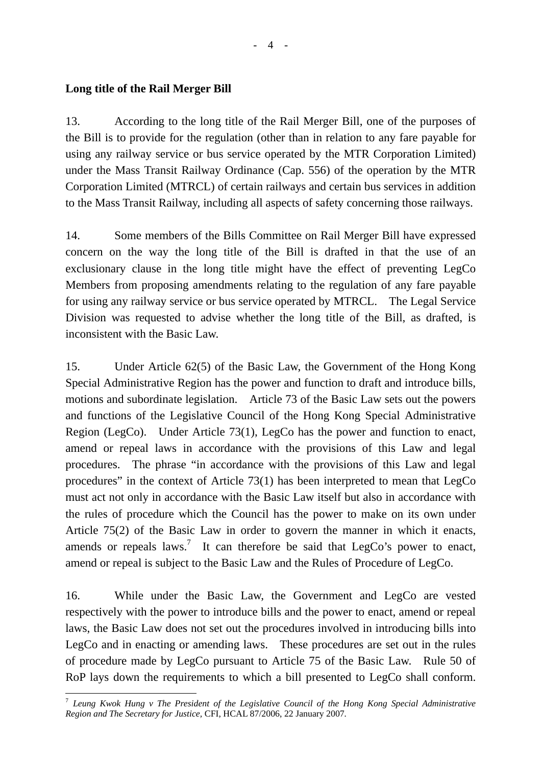#### **Long title of the Rail Merger Bill**

 $\overline{a}$ 

13. According to the long title of the Rail Merger Bill, one of the purposes of the Bill is to provide for the regulation (other than in relation to any fare payable for using any railway service or bus service operated by the MTR Corporation Limited) under the Mass Transit Railway Ordinance (Cap. 556) of the operation by the MTR Corporation Limited (MTRCL) of certain railways and certain bus services in addition to the Mass Transit Railway, including all aspects of safety concerning those railways.

14. Some members of the Bills Committee on Rail Merger Bill have expressed concern on the way the long title of the Bill is drafted in that the use of an exclusionary clause in the long title might have the effect of preventing LegCo Members from proposing amendments relating to the regulation of any fare payable for using any railway service or bus service operated by MTRCL. The Legal Service Division was requested to advise whether the long title of the Bill, as drafted, is inconsistent with the Basic Law.

15. Under Article 62(5) of the Basic Law, the Government of the Hong Kong Special Administrative Region has the power and function to draft and introduce bills, motions and subordinate legislation. Article 73 of the Basic Law sets out the powers and functions of the Legislative Council of the Hong Kong Special Administrative Region (LegCo). Under Article 73(1), LegCo has the power and function to enact, amend or repeal laws in accordance with the provisions of this Law and legal procedures. The phrase "in accordance with the provisions of this Law and legal procedures" in the context of Article 73(1) has been interpreted to mean that LegCo must act not only in accordance with the Basic Law itself but also in accordance with the rules of procedure which the Council has the power to make on its own under Article 75(2) of the Basic Law in order to govern the manner in which it enacts, amends or repeals laws.<sup>7</sup> It can therefore be said that LegCo's power to enact, amend or repeal is subject to the Basic Law and the Rules of Procedure of LegCo.

16. While under the Basic Law, the Government and LegCo are vested respectively with the power to introduce bills and the power to enact, amend or repeal laws, the Basic Law does not set out the procedures involved in introducing bills into LegCo and in enacting or amending laws. These procedures are set out in the rules of procedure made by LegCo pursuant to Article 75 of the Basic Law. Rule 50 of RoP lays down the requirements to which a bill presented to LegCo shall conform.

<sup>7</sup> *Leung Kwok Hung v The President of the Legislative Council of the Hong Kong Special Administrative Region and The Secretary for Justice,* CFI, HCAL 87/2006, 22 January 2007*.*